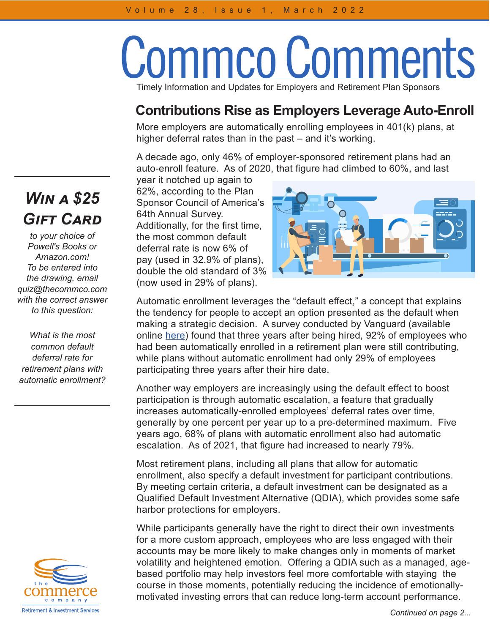## Commco Comments Timely Information and Updates for Employers and Retirement Plan Sponsors

## **Contributions Rise as Employers Leverage Auto-Enroll**

More employers are automatically enrolling employees in 401(k) plans, at higher deferral rates than in the past – and it's working.

A decade ago, only 46% of employer-sponsored retirement plans had an auto-enroll feature. As of 2020, that figure had climbed to 60%, and last

year it notched up again to 62%, according to the Plan Sponsor Council of America's 64th Annual Survey. Additionally, for the first time, the most common default deferral rate is now 6% of pay (used in 32.9% of plans), double the old standard of 3% (now used in 29% of plans).



Automatic enrollment leverages the "default effect," a concept that explains the tendency for people to accept an option presented as the default when making a strategic decision. A survey conducted by Vanguard (available online [here](https://institutional.vanguard.com/iam/pdf/ISGAE_022020.pdf)) found that three years after being hired, 92% of employees who had been automatically enrolled in a retirement plan were still contributing, while plans without automatic enrollment had only 29% of employees participating three years after their hire date.

Another way employers are increasingly using the default effect to boost participation is through automatic escalation, a feature that gradually increases automatically-enrolled employees' deferral rates over time, generally by one percent per year up to a pre-determined maximum. Five years ago, 68% of plans with automatic enrollment also had automatic escalation. As of 2021, that figure had increased to nearly 79%.

Most retirement plans, including all plans that allow for automatic enrollment, also specify a default investment for participant contributions. By meeting certain criteria, a default investment can be designated as a Qualified Default Investment Alternative (QDIA), which provides some safe harbor protections for employers.

While participants generally have the right to direct their own investments for a more custom approach, employees who are less engaged with their accounts may be more likely to make changes only in moments of market volatility and heightened emotion. Offering a QDIA such as a managed, agebased portfolio may help investors feel more comfortable with staying the course in those moments, potentially reducing the incidence of emotionallymotivated investing errors that can reduce long-term account performance.

## *Win a \$25 Gift Card*

*to your choice of Powell's Books or Amazon.com! To be entered into the drawing, email quiz@thecommco.com with the correct answer to this question:*

*What is the most common default deferral rate for retirement plans with automatic enrollment?*